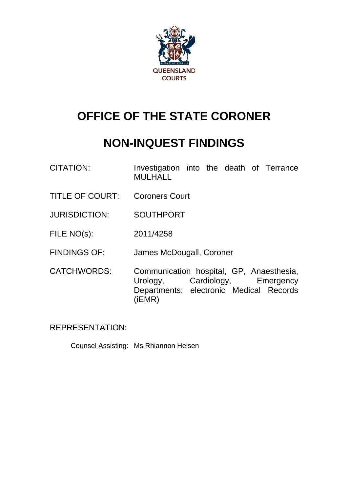

# **OFFICE OF THE STATE CORONER**

## **NON-INQUEST FINDINGS**

- CITATION: Investigation into the death of Terrance MULHALL
- TITLE OF COURT: Coroners Court
- JURISDICTION: SOUTHPORT
- FILE NO(s): 2011/4258
- FINDINGS OF: James McDougall, Coroner
- CATCHWORDS: Communication hospital, GP, Anaesthesia, Urology, Cardiology, Emergency Departments; electronic Medical Records (iEMR)

REPRESENTATION:

Counsel Assisting: Ms Rhiannon Helsen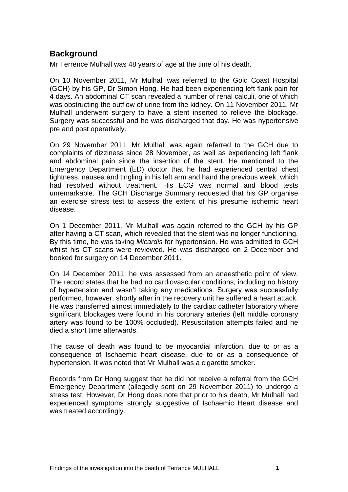## **Background**

Mr Terrence Mulhall was 48 years of age at the time of his death.

On 10 November 2011, Mr Mulhall was referred to the Gold Coast Hospital (GCH) by his GP, Dr Simon Hong. He had been experiencing left flank pain for 4 days. An abdominal CT scan revealed a number of renal calculi, one of which was obstructing the outflow of urine from the kidney. On 11 November 2011, Mr Mulhall underwent surgery to have a stent inserted to relieve the blockage. Surgery was successful and he was discharged that day. He was hypertensive pre and post operatively.

On 29 November 2011, Mr Mulhall was again referred to the GCH due to complaints of dizziness since 28 November, as well as experiencing left flank and abdominal pain since the insertion of the stent. He mentioned to the Emergency Department (ED) doctor that he had experienced central chest tightness, nausea and tingling in his left arm and hand the previous week, which had resolved without treatment. His ECG was normal and blood tests unremarkable. The GCH Discharge Summary requested that his GP organise an exercise stress test to assess the extent of his presume ischemic heart disease.

On 1 December 2011, Mr Mulhall was again referred to the GCH by his GP after having a CT scan, which revealed that the stent was no longer functioning. By this time, he was taking *Micardis* for hypertension. He was admitted to GCH whilst his CT scans were reviewed. He was discharged on 2 December and booked for surgery on 14 December 2011.

On 14 December 2011, he was assessed from an anaesthetic point of view. The record states that he had no cardiovascular conditions, including no history of hypertension and wasn't taking any medications. Surgery was successfully performed, however, shortly after in the recovery unit he suffered a heart attack. He was transferred almost immediately to the cardiac catheter laboratory where significant blockages were found in his coronary arteries (left middle coronary artery was found to be 100% occluded). Resuscitation attempts failed and he died a short time afterwards.

The cause of death was found to be myocardial infarction, due to or as a consequence of Ischaemic heart disease, due to or as a consequence of hypertension. It was noted that Mr Mulhall was a cigarette smoker.

Records from Dr Hong suggest that he did not receive a referral from the GCH Emergency Department (allegedly sent on 29 November 2011) to undergo a stress test. However, Dr Hong does note that prior to his death, Mr Mulhall had experienced symptoms strongly suggestive of Ischaemic Heart disease and was treated accordingly.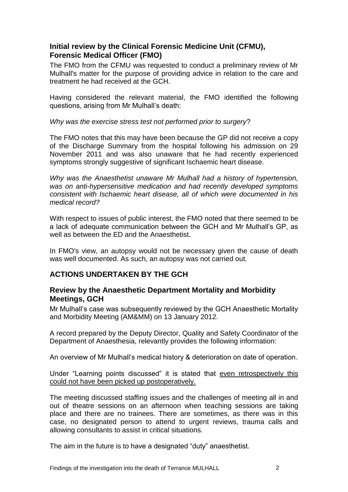## **Initial review by the Clinical Forensic Medicine Unit (CFMU), Forensic Medical Officer (FMO)**

The FMO from the CFMU was requested to conduct a preliminary review of Mr Mulhall's matter for the purpose of providing advice in relation to the care and treatment he had received at the GCH.

Having considered the relevant material, the FMO identified the following questions, arising from Mr Mulhall's death:

*Why was the exercise stress test not performed prior to surgery*?

The FMO notes that this may have been because the GP did not receive a copy of the Discharge Summary from the hospital following his admission on 29 November 2011 and was also unaware that he had recently experienced symptoms strongly suggestive of significant Ischaemic heart disease.

*Why was the Anaesthetist unaware Mr Mulhall had a history of hypertension, was on anti-hypersensitive medication and had recently developed symptoms consistent with Ischaemic heart disease, all of which were documented in his medical record?*

With respect to issues of public interest, the FMO noted that there seemed to be a lack of adequate communication between the GCH and Mr Mulhall's GP, as well as between the ED and the Anaesthetist.

In FMO's view, an autopsy would not be necessary given the cause of death was well documented. As such, an autopsy was not carried out.

## **ACTIONS UNDERTAKEN BY THE GCH**

#### **Review by the Anaesthetic Department Mortality and Morbidity Meetings, GCH**

Mr Mulhall's case was subsequently reviewed by the GCH Anaesthetic Mortality and Morbidity Meeting (AM&MM) on 13 January 2012.

A record prepared by the Deputy Director, Quality and Safety Coordinator of the Department of Anaesthesia, relevantly provides the following information:

An overview of Mr Mulhall's medical history & deterioration on date of operation.

Under "Learning points discussed" it is stated that even retrospectively this could not have been picked up postoperatively.

The meeting discussed staffing issues and the challenges of meeting all in and out of theatre sessions on an afternoon when teaching sessions are taking place and there are no trainees. There are sometimes, as there was in this case, no designated person to attend to urgent reviews, trauma calls and allowing consultants to assist in critical situations.

The aim in the future is to have a designated "duty" anaesthetist.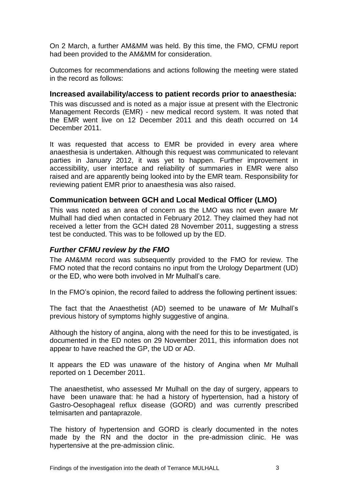On 2 March, a further AM&MM was held. By this time, the FMO, CFMU report had been provided to the AM&MM for consideration.

Outcomes for recommendations and actions following the meeting were stated in the record as follows:

#### **Increased availability/access to patient records prior to anaesthesia:**

This was discussed and is noted as a major issue at present with the Electronic Management Records (EMR) - new medical record system. It was noted that the EMR went live on 12 December 2011 and this death occurred on 14 December 2011.

It was requested that access to EMR be provided in every area where anaesthesia is undertaken. Although this request was communicated to relevant parties in January 2012, it was yet to happen. Further improvement in accessibility, user interface and reliability of summaries in EMR were also raised and are apparently being looked into by the EMR team. Responsibility for reviewing patient EMR prior to anaesthesia was also raised.

#### **Communication between GCH and Local Medical Officer (LMO)**

This was noted as an area of concern as the LMO was not even aware Mr Mulhall had died when contacted in February 2012. They claimed they had not received a letter from the GCH dated 28 November 2011, suggesting a stress test be conducted. This was to be followed up by the ED.

#### *Further CFMU review by the FMO*

The AM&MM record was subsequently provided to the FMO for review. The FMO noted that the record contains no input from the Urology Department (UD) or the ED, who were both involved in Mr Mulhall's care.

In the FMO's opinion, the record failed to address the following pertinent issues:

The fact that the Anaesthetist (AD) seemed to be unaware of Mr Mulhall's previous history of symptoms highly suggestive of angina.

Although the history of angina, along with the need for this to be investigated, is documented in the ED notes on 29 November 2011, this information does not appear to have reached the GP, the UD or AD.

It appears the ED was unaware of the history of Angina when Mr Mulhall reported on 1 December 2011.

The anaesthetist, who assessed Mr Mulhall on the day of surgery, appears to have been unaware that: he had a history of hypertension, had a history of Gastro-Oesophageal reflux disease (GORD) and was currently prescribed telmisarten and pantaprazole.

The history of hypertension and GORD is clearly documented in the notes made by the RN and the doctor in the pre-admission clinic. He was hypertensive at the pre-admission clinic.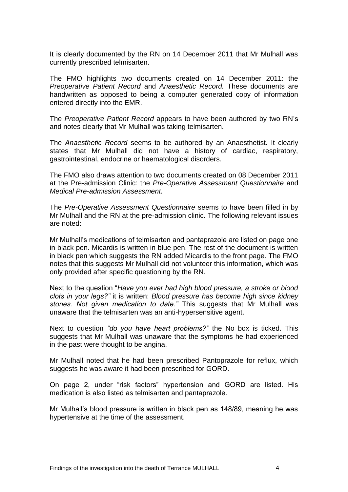It is clearly documented by the RN on 14 December 2011 that Mr Mulhall was currently prescribed telmisarten.

The FMO highlights two documents created on 14 December 2011: the *Preoperative Patient Record* and *Anaesthetic Record.* These documents are handwritten as opposed to being a computer generated copy of information entered directly into the EMR.

The *Preoperative Patient Record* appears to have been authored by two RN's and notes clearly that Mr Mulhall was taking telmisarten.

The *Anaesthetic Record* seems to be authored by an Anaesthetist. It clearly states that Mr Mulhall did not have a history of cardiac, respiratory, gastrointestinal, endocrine or haematological disorders.

The FMO also draws attention to two documents created on 08 December 2011 at the Pre-admission Clinic: the *Pre-Operative Assessment Questionnaire* and *Medical Pre-admission Assessment.*

The *Pre-Operative Assessment Questionnaire* seems to have been filled in by Mr Mulhall and the RN at the pre-admission clinic. The following relevant issues are noted:

Mr Mulhall's medications of telmisarten and pantaprazole are listed on page one in black pen. Micardis is written in blue pen. The rest of the document is written in black pen which suggests the RN added Micardis to the front page. The FMO notes that this suggests Mr Mulhall did not volunteer this information, which was only provided after specific questioning by the RN.

Next to the question "*Have you ever had high blood pressure, a stroke or blood clots in your legs?"* it is written: *Blood pressure has become high since kidney stones. Not given medication to date."* This suggests that Mr Mulhall was unaware that the telmisarten was an anti-hypersensitive agent.

Next to question *"do you have heart problems?"* the No box is ticked. This suggests that Mr Mulhall was unaware that the symptoms he had experienced in the past were thought to be angina.

Mr Mulhall noted that he had been prescribed Pantoprazole for reflux, which suggests he was aware it had been prescribed for GORD.

On page 2, under "risk factors" hypertension and GORD are listed. His medication is also listed as telmisarten and pantaprazole.

Mr Mulhall's blood pressure is written in black pen as 148/89, meaning he was hypertensive at the time of the assessment.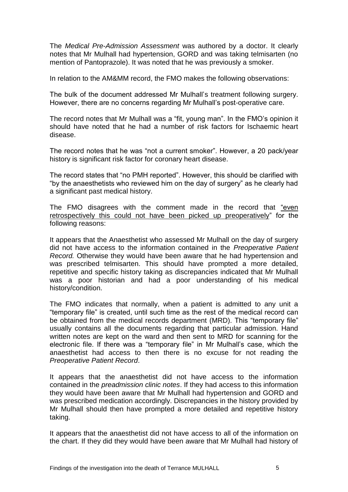The *Medical Pre-Admission Assessment* was authored by a doctor. It clearly notes that Mr Mulhall had hypertension, GORD and was taking telmisarten (no mention of Pantoprazole). It was noted that he was previously a smoker.

In relation to the AM&MM record, the FMO makes the following observations:

The bulk of the document addressed Mr Mulhall's treatment following surgery. However, there are no concerns regarding Mr Mulhall's post-operative care.

The record notes that Mr Mulhall was a "fit, young man". In the FMO's opinion it should have noted that he had a number of risk factors for Ischaemic heart disease.

The record notes that he was "not a current smoker". However, a 20 pack/year history is significant risk factor for coronary heart disease.

The record states that "no PMH reported". However, this should be clarified with "by the anaesthetists who reviewed him on the day of surgery" as he clearly had a significant past medical history.

The FMO disagrees with the comment made in the record that "even retrospectively this could not have been picked up preoperatively" for the following reasons:

It appears that the Anaesthetist who assessed Mr Mulhall on the day of surgery did not have access to the information contained in the *Preoperative Patient Record.* Otherwise they would have been aware that he had hypertension and was prescribed telmisarten. This should have prompted a more detailed, repetitive and specific history taking as discrepancies indicated that Mr Mulhall was a poor historian and had a poor understanding of his medical history/condition.

The FMO indicates that normally, when a patient is admitted to any unit a "temporary file" is created, until such time as the rest of the medical record can be obtained from the medical records department (MRD). This "temporary file" usually contains all the documents regarding that particular admission. Hand written notes are kept on the ward and then sent to MRD for scanning for the electronic file. If there was a "temporary file" in Mr Mulhall's case, which the anaesthetist had access to then there is no excuse for not reading the *Preoperative Patient Record*.

It appears that the anaesthetist did not have access to the information contained in the *preadmission clinic notes*. If they had access to this information they would have been aware that Mr Mulhall had hypertension and GORD and was prescribed medication accordingly. Discrepancies in the history provided by Mr Mulhall should then have prompted a more detailed and repetitive history taking.

It appears that the anaesthetist did not have access to all of the information on the chart. If they did they would have been aware that Mr Mulhall had history of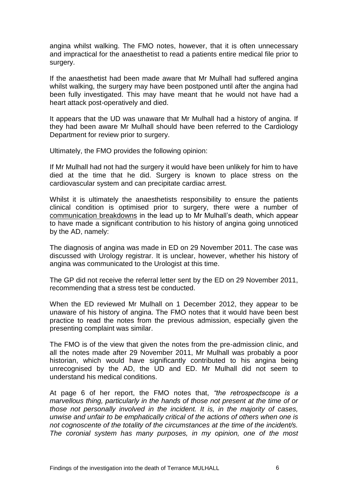angina whilst walking. The FMO notes, however, that it is often unnecessary and impractical for the anaesthetist to read a patients entire medical file prior to surgery.

If the anaesthetist had been made aware that Mr Mulhall had suffered angina whilst walking, the surgery may have been postponed until after the angina had been fully investigated. This may have meant that he would not have had a heart attack post-operatively and died.

It appears that the UD was unaware that Mr Mulhall had a history of angina. If they had been aware Mr Mulhall should have been referred to the Cardiology Department for review prior to surgery.

Ultimately, the FMO provides the following opinion:

If Mr Mulhall had not had the surgery it would have been unlikely for him to have died at the time that he did. Surgery is known to place stress on the cardiovascular system and can precipitate cardiac arrest.

Whilst it is ultimately the anaesthetists responsibility to ensure the patients clinical condition is optimised prior to surgery, there were a number of communication breakdowns in the lead up to Mr Mulhall's death, which appear to have made a significant contribution to his history of angina going unnoticed by the AD, namely:

The diagnosis of angina was made in ED on 29 November 2011. The case was discussed with Urology registrar. It is unclear, however, whether his history of angina was communicated to the Urologist at this time.

The GP did not receive the referral letter sent by the ED on 29 November 2011, recommending that a stress test be conducted.

When the ED reviewed Mr Mulhall on 1 December 2012, they appear to be unaware of his history of angina. The FMO notes that it would have been best practice to read the notes from the previous admission, especially given the presenting complaint was similar.

The FMO is of the view that given the notes from the pre-admission clinic, and all the notes made after 29 November 2011, Mr Mulhall was probably a poor historian, which would have significantly contributed to his angina being unrecognised by the AD, the UD and ED. Mr Mulhall did not seem to understand his medical conditions.

At page 6 of her report, the FMO notes that, *"the retrospectscope is a marvellous thing, particularly in the hands of those not present at the time of or those not personally involved in the incident. It is, in the majority of cases, unwise and unfair to be emphatically critical of the actions of others when one is not cognoscente of the totality of the circumstances at the time of the incident/s. The coronial system has many purposes, in my opinion, one of the most*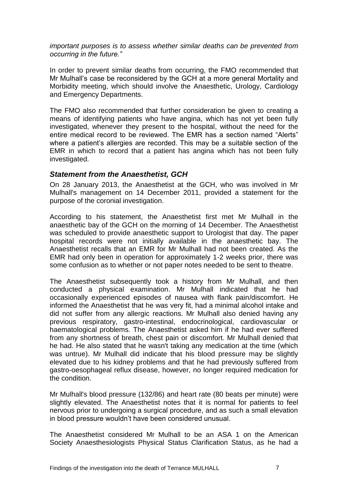*important purposes is to assess whether similar deaths can be prevented from occurring in the future."* 

In order to prevent similar deaths from occurring, the FMO recommended that Mr Mulhall's case be reconsidered by the GCH at a more general Mortality and Morbidity meeting, which should involve the Anaesthetic, Urology, Cardiology and Emergency Departments.

The FMO also recommended that further consideration be given to creating a means of identifying patients who have angina, which has not yet been fully investigated, whenever they present to the hospital, without the need for the entire medical record to be reviewed. The EMR has a section named "Alerts" where a patient's allergies are recorded. This may be a suitable section of the EMR in which to record that a patient has angina which has not been fully investigated.

#### *Statement from the Anaesthetist, GCH*

On 28 January 2013, the Anaesthetist at the GCH, who was involved in Mr Mulhall's management on 14 December 2011, provided a statement for the purpose of the coronial investigation.

According to his statement, the Anaesthetist first met Mr Mulhall in the anaesthetic bay of the GCH on the morning of 14 December. The Anaesthetist was scheduled to provide anaesthetic support to Urologist that day. The paper hospital records were not initially available in the anaesthetic bay. The Anaesthetist recalls that an EMR for Mr Mulhall had not been created. As the EMR had only been in operation for approximately 1-2 weeks prior, there was some confusion as to whether or not paper notes needed to be sent to theatre.

The Anaesthetist subsequently took a history from Mr Mulhall, and then conducted a physical examination. Mr Mulhall indicated that he had occasionally experienced episodes of nausea with flank pain/discomfort. He informed the Anaesthetist that he was very fit, had a minimal alcohol intake and did not suffer from any allergic reactions. Mr Mulhall also denied having any previous respiratory, gastro-intestinal, endocrinological, cardiovascular or haematological problems. The Anaesthetist asked him if he had ever suffered from any shortness of breath, chest pain or discomfort. Mr Mulhall denied that he had. He also stated that he wasn't taking any medication at the time (which was untrue). Mr Mulhall did indicate that his blood pressure may be slightly elevated due to his kidney problems and that he had previously suffered from gastro-oesophageal reflux disease, however, no longer required medication for the condition.

Mr Mulhall's blood pressure (132/86) and heart rate (80 beats per minute) were slightly elevated. The Anaesthetist notes that it is normal for patients to feel nervous prior to undergoing a surgical procedure, and as such a small elevation in blood pressure wouldn't have been considered unusual.

The Anaesthetist considered Mr Mulhall to be an ASA 1 on the American Society Anaesthesiologists Physical Status Clarification Status, as he had a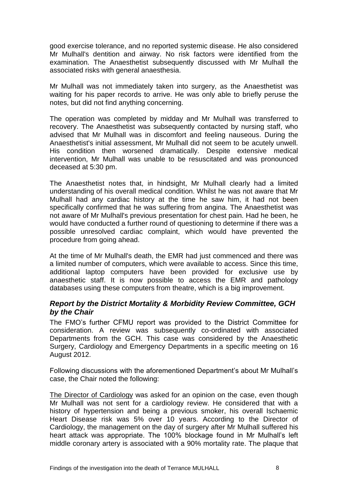good exercise tolerance, and no reported systemic disease. He also considered Mr Mulhall's dentition and airway. No risk factors were identified from the examination. The Anaesthetist subsequently discussed with Mr Mulhall the associated risks with general anaesthesia.

Mr Mulhall was not immediately taken into surgery, as the Anaesthetist was waiting for his paper records to arrive. He was only able to briefly peruse the notes, but did not find anything concerning.

The operation was completed by midday and Mr Mulhall was transferred to recovery. The Anaesthetist was subsequently contacted by nursing staff, who advised that Mr Mulhall was in discomfort and feeling nauseous. During the Anaesthetist's initial assessment, Mr Mulhall did not seem to be acutely unwell. His condition then worsened dramatically. Despite extensive medical intervention, Mr Mulhall was unable to be resuscitated and was pronounced deceased at 5:30 pm.

The Anaesthetist notes that, in hindsight, Mr Mulhall clearly had a limited understanding of his overall medical condition. Whilst he was not aware that Mr Mulhall had any cardiac history at the time he saw him, it had not been specifically confirmed that he was suffering from angina. The Anaesthetist was not aware of Mr Mulhall's previous presentation for chest pain. Had he been, he would have conducted a further round of questioning to determine if there was a possible unresolved cardiac complaint, which would have prevented the procedure from going ahead.

At the time of Mr Mulhall's death, the EMR had just commenced and there was a limited number of computers, which were available to access. Since this time, additional laptop computers have been provided for exclusive use by anaesthetic staff. It is now possible to access the EMR and pathology databases using these computers from theatre, which is a big improvement.

### *Report by the District Mortality & Morbidity Review Committee, GCH by the Chair*

The FMO's further CFMU report was provided to the District Committee for consideration. A review was subsequently co-ordinated with associated Departments from the GCH. This case was considered by the Anaesthetic Surgery, Cardiology and Emergency Departments in a specific meeting on 16 August 2012.

Following discussions with the aforementioned Department's about Mr Mulhall's case, the Chair noted the following:

The Director of Cardiology was asked for an opinion on the case, even though Mr Mulhall was not sent for a cardiology review. He considered that with a history of hypertension and being a previous smoker, his overall Ischaemic Heart Disease risk was 5% over 10 years. According to the Director of Cardiology, the management on the day of surgery after Mr Mulhall suffered his heart attack was appropriate. The 100% blockage found in Mr Mulhall's left middle coronary artery is associated with a 90% mortality rate. The plaque that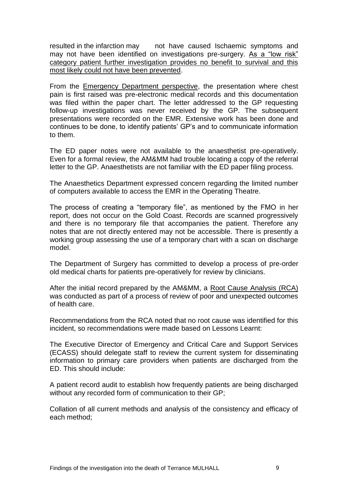resulted in the infarction may a not have caused Ischaemic symptoms and may not have been identified on investigations pre-surgery. As a "low risk" category patient further investigation provides no benefit to survival and this most likely could not have been prevented.

From the Emergency Department perspective, the presentation where chest pain is first raised was pre-electronic medical records and this documentation was filed within the paper chart. The letter addressed to the GP requesting follow-up investigations was never received by the GP. The subsequent presentations were recorded on the EMR. Extensive work has been done and continues to be done, to identify patients' GP's and to communicate information to them.

The ED paper notes were not available to the anaesthetist pre-operatively. Even for a formal review, the AM&MM had trouble locating a copy of the referral letter to the GP. Anaesthetists are not familiar with the ED paper filing process.

The Anaesthetics Department expressed concern regarding the limited number of computers available to access the EMR in the Operating Theatre.

The process of creating a "temporary file", as mentioned by the FMO in her report, does not occur on the Gold Coast. Records are scanned progressively and there is no temporary file that accompanies the patient. Therefore any notes that are not directly entered may not be accessible. There is presently a working group assessing the use of a temporary chart with a scan on discharge model.

The Department of Surgery has committed to develop a process of pre-order old medical charts for patients pre-operatively for review by clinicians.

After the initial record prepared by the AM&MM, a Root Cause Analysis (RCA) was conducted as part of a process of review of poor and unexpected outcomes of health care.

Recommendations from the RCA noted that no root cause was identified for this incident, so recommendations were made based on Lessons Learnt:

The Executive Director of Emergency and Critical Care and Support Services (ECASS) should delegate staff to review the current system for disseminating information to primary care providers when patients are discharged from the ED. This should include:

A patient record audit to establish how frequently patients are being discharged without any recorded form of communication to their GP;

Collation of all current methods and analysis of the consistency and efficacy of each method;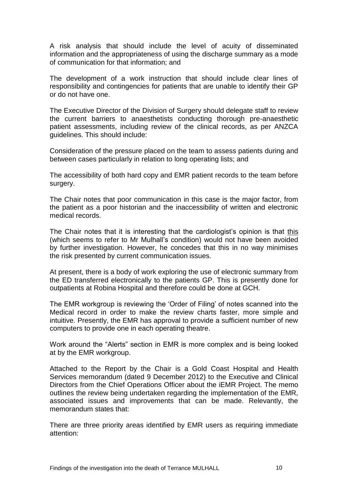A risk analysis that should include the level of acuity of disseminated information and the appropriateness of using the discharge summary as a mode of communication for that information; and

The development of a work instruction that should include clear lines of responsibility and contingencies for patients that are unable to identify their GP or do not have one.

The Executive Director of the Division of Surgery should delegate staff to review the current barriers to anaesthetists conducting thorough pre-anaesthetic patient assessments, including review of the clinical records, as per ANZCA guidelines. This should include:

Consideration of the pressure placed on the team to assess patients during and between cases particularly in relation to long operating lists; and

The accessibility of both hard copy and EMR patient records to the team before surgery.

The Chair notes that poor communication in this case is the major factor, from the patient as a poor historian and the inaccessibility of written and electronic medical records.

The Chair notes that it is interesting that the cardiologist's opinion is that this (which seems to refer to Mr Mulhall's condition) would not have been avoided by further investigation. However, he concedes that this in no way minimises the risk presented by current communication issues.

At present, there is a body of work exploring the use of electronic summary from the ED transferred electronically to the patients GP. This is presently done for outpatients at Robina Hospital and therefore could be done at GCH.

The EMR workgroup is reviewing the 'Order of Filing' of notes scanned into the Medical record in order to make the review charts faster, more simple and intuitive. Presently, the EMR has approval to provide a sufficient number of new computers to provide one in each operating theatre.

Work around the "Alerts" section in EMR is more complex and is being looked at by the EMR workgroup.

Attached to the Report by the Chair is a Gold Coast Hospital and Health Services memorandum (dated 9 December 2012) to the Executive and Clinical Directors from the Chief Operations Officer about the iEMR Project. The memo outlines the review being undertaken regarding the implementation of the EMR, associated issues and improvements that can be made. Relevantly, the memorandum states that:

There are three priority areas identified by EMR users as requiring immediate attention: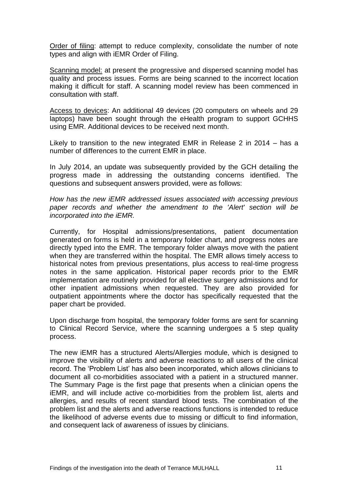Order of filing: attempt to reduce complexity, consolidate the number of note types and align with iEMR Order of Filing.

Scanning model: at present the progressive and dispersed scanning model has quality and process issues. Forms are being scanned to the incorrect location making it difficult for staff. A scanning model review has been commenced in consultation with staff.

Access to devices: An additional 49 devices (20 computers on wheels and 29 laptops) have been sought through the eHealth program to support GCHHS using EMR. Additional devices to be received next month.

Likely to transition to the new integrated EMR in Release 2 in 2014 – has a number of differences to the current EMR in place.

In July 2014, an update was subsequently provided by the GCH detailing the progress made in addressing the outstanding concerns identified. The questions and subsequent answers provided, were as follows:

*How has the new iEMR addressed issues associated with accessing previous paper records and whether the amendment to the 'Alert' section will be incorporated into the iEMR.* 

Currently, for Hospital admissions/presentations, patient documentation generated on forms is held in a temporary folder chart, and progress notes are directly typed into the EMR. The temporary folder always move with the patient when they are transferred within the hospital. The EMR allows timely access to historical notes from previous presentations, plus access to real-time progress notes in the same application. Historical paper records prior to the EMR implementation are routinely provided for all elective surgery admissions and for other inpatient admissions when requested. They are also provided for outpatient appointments where the doctor has specifically requested that the paper chart be provided.

Upon discharge from hospital, the temporary folder forms are sent for scanning to Clinical Record Service, where the scanning undergoes a 5 step quality process.

The new iEMR has a structured Alerts/Allergies module, which is designed to improve the visibility of alerts and adverse reactions to all users of the clinical record. The 'Problem List' has also been incorporated, which allows clinicians to document all co-morbidities associated with a patient in a structured manner. The Summary Page is the first page that presents when a clinician opens the iEMR, and will include active co-morbidities from the problem list, alerts and allergies, and results of recent standard blood tests. The combination of the problem list and the alerts and adverse reactions functions is intended to reduce the likelihood of adverse events due to missing or difficult to find information, and consequent lack of awareness of issues by clinicians.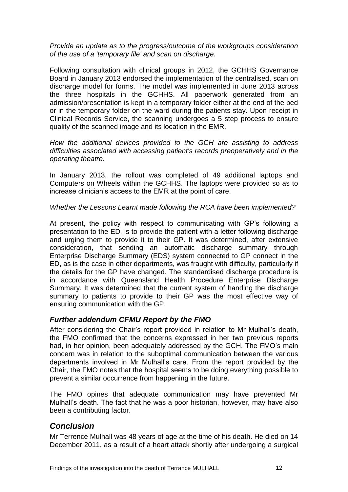*Provide an update as to the progress/outcome of the workgroups consideration of the use of a 'temporary file' and scan on discharge.*

Following consultation with clinical groups in 2012, the GCHHS Governance Board in January 2013 endorsed the implementation of the centralised, scan on discharge model for forms. The model was implemented in June 2013 across the three hospitals in the GCHHS. All paperwork generated from an admission/presentation is kept in a temporary folder either at the end of the bed or in the temporary folder on the ward during the patients stay. Upon receipt in Clinical Records Service, the scanning undergoes a 5 step process to ensure quality of the scanned image and its location in the EMR.

*How the additional devices provided to the GCH are assisting to address difficulties associated with accessing patient's records preoperatively and in the operating theatre.*

In January 2013, the rollout was completed of 49 additional laptops and Computers on Wheels within the GCHHS. The laptops were provided so as to increase clinician's access to the EMR at the point of care.

#### *Whether the Lessons Learnt made following the RCA have been implemented?*

At present, the policy with respect to communicating with GP's following a presentation to the ED, is to provide the patient with a letter following discharge and urging them to provide it to their GP. It was determined, after extensive consideration, that sending an automatic discharge summary through Enterprise Discharge Summary (EDS) system connected to GP connect in the ED, as is the case in other departments, was fraught with difficulty, particularly if the details for the GP have changed. The standardised discharge procedure is in accordance with Queensland Health Procedure Enterprise Discharge Summary. It was determined that the current system of handing the discharge summary to patients to provide to their GP was the most effective way of ensuring communication with the GP.

#### *Further addendum CFMU Report by the FMO*

After considering the Chair's report provided in relation to Mr Mulhall's death, the FMO confirmed that the concerns expressed in her two previous reports had, in her opinion, been adequately addressed by the GCH. The FMO's main concern was in relation to the suboptimal communication between the various departments involved in Mr Mulhall's care. From the report provided by the Chair, the FMO notes that the hospital seems to be doing everything possible to prevent a similar occurrence from happening in the future.

The FMO opines that adequate communication may have prevented Mr Mulhall's death. The fact that he was a poor historian, however, may have also been a contributing factor.

## *Conclusion*

Mr Terrence Mulhall was 48 years of age at the time of his death. He died on 14 December 2011, as a result of a heart attack shortly after undergoing a surgical